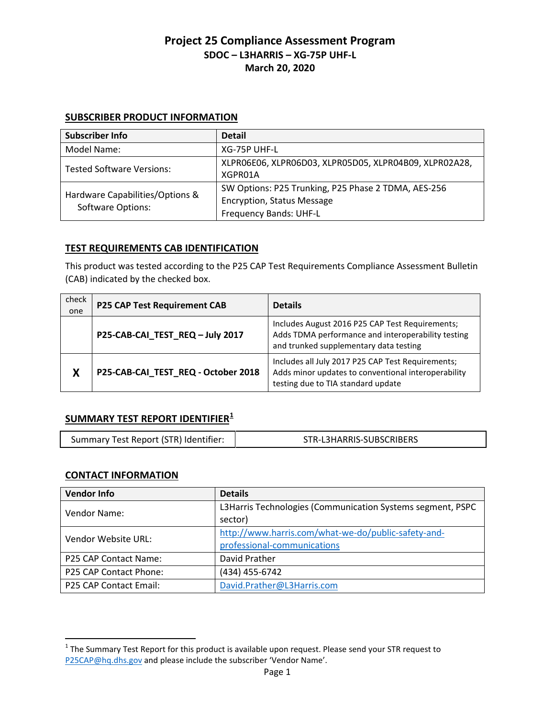#### **SUBSCRIBER PRODUCT INFORMATION**

| <b>Subscriber Info</b>                                      | <b>Detail</b>                                                                                                      |
|-------------------------------------------------------------|--------------------------------------------------------------------------------------------------------------------|
| Model Name:                                                 | XG-75P UHF-L                                                                                                       |
| <b>Tested Software Versions:</b>                            | XLPRO6EO6, XLPRO6DO3, XLPRO5DO5, XLPRO4BO9, XLPRO2A28,<br>XGPR01A                                                  |
| Hardware Capabilities/Options &<br><b>Software Options:</b> | SW Options: P25 Trunking, P25 Phase 2 TDMA, AES-256<br><b>Encryption, Status Message</b><br>Frequency Bands: UHF-L |

#### **TEST REQUIREMENTS CAB IDENTIFICATION**

This product was tested according to the P25 CAP Test Requirements Compliance Assessment Bulletin (CAB) indicated by the checked box.

| check<br>one | <b>P25 CAP Test Requirement CAB</b> | <b>Details</b>                                                                                                                                  |
|--------------|-------------------------------------|-------------------------------------------------------------------------------------------------------------------------------------------------|
|              | P25-CAB-CAI_TEST_REQ-July 2017      | Includes August 2016 P25 CAP Test Requirements;<br>Adds TDMA performance and interoperability testing<br>and trunked supplementary data testing |
| X            | P25-CAB-CAI_TEST_REQ - October 2018 | Includes all July 2017 P25 CAP Test Requirements;<br>Adds minor updates to conventional interoperability<br>testing due to TIA standard update  |

# **SUMMARY TEST REPORT IDENTIFIER[1](#page-0-0)**

| Summary Test Report (STR) Identifier: | STR-L3HARRIS-SUBSCRIBERS |
|---------------------------------------|--------------------------|
|                                       |                          |

### **CONTACT INFORMATION**

| <b>Vendor Info</b>     | <b>Details</b>                                             |
|------------------------|------------------------------------------------------------|
| Vendor Name:           | L3Harris Technologies (Communication Systems segment, PSPC |
|                        | sector)                                                    |
| Vendor Website URL:    | http://www.harris.com/what-we-do/public-safety-and-        |
|                        | professional-communications                                |
| P25 CAP Contact Name:  | David Prather                                              |
| P25 CAP Contact Phone: | (434) 455-6742                                             |
| P25 CAP Contact Email: | David.Prather@L3Harris.com                                 |

<span id="page-0-0"></span> $1$  The Summary Test Report for this product is available upon request. Please send your STR request to [P25CAP@hq.dhs.gov](mailto:P25CAP@hq.dhs.gov) and please include the subscriber 'Vendor Name'.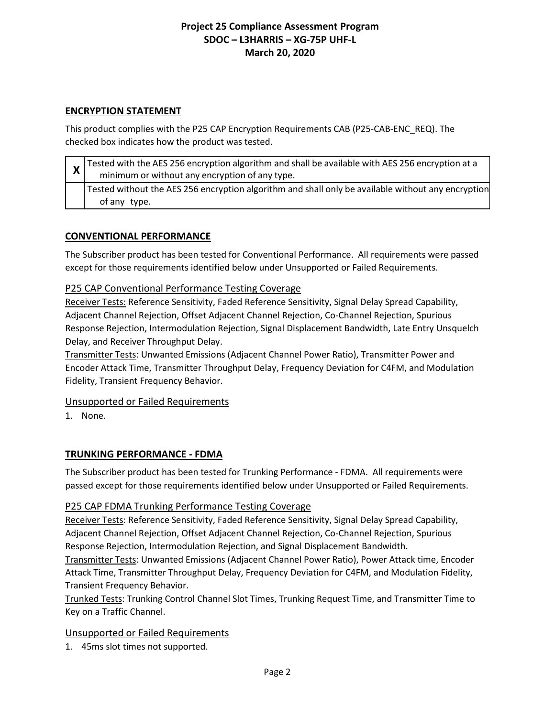### **ENCRYPTION STATEMENT**

This product complies with the P25 CAP Encryption Requirements CAB (P25-CAB-ENC\_REQ). The checked box indicates how the product was tested.

| $\mathsf{x}$ | $\frac{1}{1}$ Tested with the AES 256 encryption algorithm and shall be available with AES 256 encryption at a<br>minimum or without any encryption of any type. |
|--------------|------------------------------------------------------------------------------------------------------------------------------------------------------------------|
|              | Tested without the AES 256 encryption algorithm and shall only be available without any encryption<br>of any type.                                               |

# **CONVENTIONAL PERFORMANCE**

The Subscriber product has been tested for Conventional Performance. All requirements were passed except for those requirements identified below under Unsupported or Failed Requirements.

# P25 CAP Conventional Performance Testing Coverage

Receiver Tests: Reference Sensitivity, Faded Reference Sensitivity, Signal Delay Spread Capability, Adjacent Channel Rejection, Offset Adjacent Channel Rejection, Co-Channel Rejection, Spurious Response Rejection, Intermodulation Rejection, Signal Displacement Bandwidth, Late Entry Unsquelch Delay, and Receiver Throughput Delay.

Transmitter Tests: Unwanted Emissions (Adjacent Channel Power Ratio), Transmitter Power and Encoder Attack Time, Transmitter Throughput Delay, Frequency Deviation for C4FM, and Modulation Fidelity, Transient Frequency Behavior.

### Unsupported or Failed Requirements

1. None.

### **TRUNKING PERFORMANCE - FDMA**

The Subscriber product has been tested for Trunking Performance - FDMA. All requirements were passed except for those requirements identified below under Unsupported or Failed Requirements.

### P25 CAP FDMA Trunking Performance Testing Coverage

Receiver Tests: Reference Sensitivity, Faded Reference Sensitivity, Signal Delay Spread Capability, Adjacent Channel Rejection, Offset Adjacent Channel Rejection, Co-Channel Rejection, Spurious Response Rejection, Intermodulation Rejection, and Signal Displacement Bandwidth.

Transmitter Tests: Unwanted Emissions (Adjacent Channel Power Ratio), Power Attack time, Encoder Attack Time, Transmitter Throughput Delay, Frequency Deviation for C4FM, and Modulation Fidelity, Transient Frequency Behavior.

Trunked Tests: Trunking Control Channel Slot Times, Trunking Request Time, and Transmitter Time to Key on a Traffic Channel.

### Unsupported or Failed Requirements

1. 45ms slot times not supported.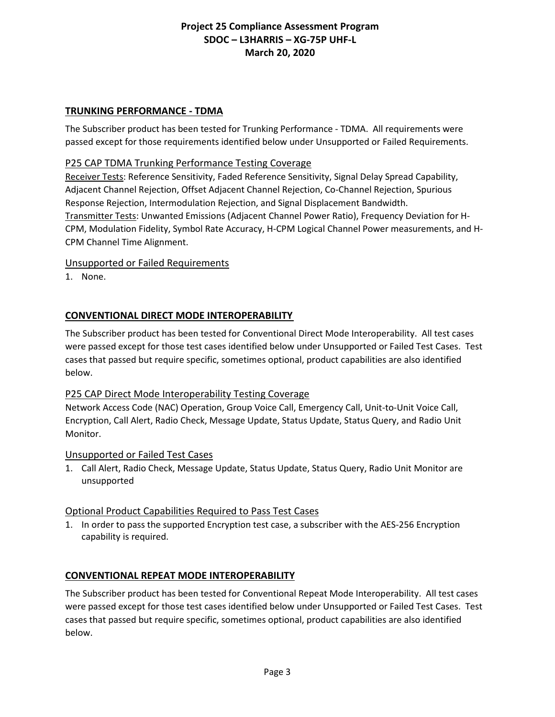#### **TRUNKING PERFORMANCE - TDMA**

The Subscriber product has been tested for Trunking Performance - TDMA. All requirements were passed except for those requirements identified below under Unsupported or Failed Requirements.

### P25 CAP TDMA Trunking Performance Testing Coverage

Receiver Tests: Reference Sensitivity, Faded Reference Sensitivity, Signal Delay Spread Capability, Adjacent Channel Rejection, Offset Adjacent Channel Rejection, Co-Channel Rejection, Spurious Response Rejection, Intermodulation Rejection, and Signal Displacement Bandwidth. Transmitter Tests: Unwanted Emissions (Adjacent Channel Power Ratio), Frequency Deviation for H-CPM, Modulation Fidelity, Symbol Rate Accuracy, H-CPM Logical Channel Power measurements, and H-CPM Channel Time Alignment.

#### Unsupported or Failed Requirements

1. None.

# **CONVENTIONAL DIRECT MODE INTEROPERABILITY**

The Subscriber product has been tested for Conventional Direct Mode Interoperability. All test cases were passed except for those test cases identified below under Unsupported or Failed Test Cases. Test cases that passed but require specific, sometimes optional, product capabilities are also identified below.

### P25 CAP Direct Mode Interoperability Testing Coverage

Network Access Code (NAC) Operation, Group Voice Call, Emergency Call, Unit-to-Unit Voice Call, Encryption, Call Alert, Radio Check, Message Update, Status Update, Status Query, and Radio Unit Monitor.

#### Unsupported or Failed Test Cases

1. Call Alert, Radio Check, Message Update, Status Update, Status Query, Radio Unit Monitor are unsupported

#### Optional Product Capabilities Required to Pass Test Cases

1. In order to pass the supported Encryption test case, a subscriber with the AES-256 Encryption capability is required.

### **CONVENTIONAL REPEAT MODE INTEROPERABILITY**

The Subscriber product has been tested for Conventional Repeat Mode Interoperability. All test cases were passed except for those test cases identified below under Unsupported or Failed Test Cases. Test cases that passed but require specific, sometimes optional, product capabilities are also identified below.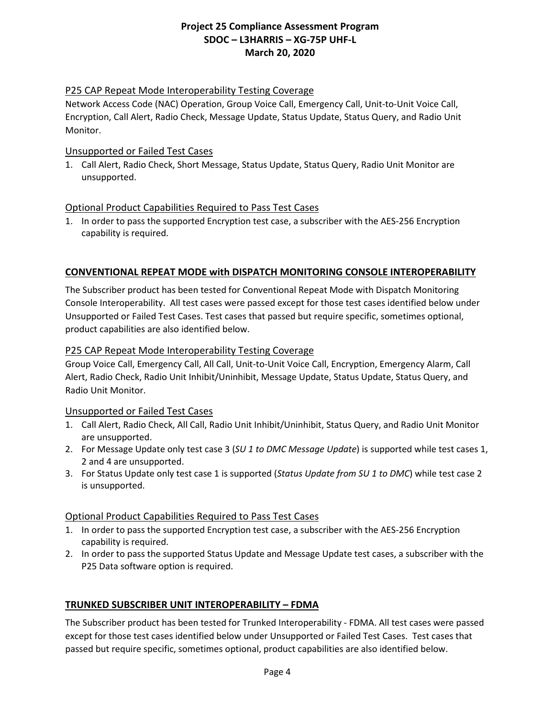### P25 CAP Repeat Mode Interoperability Testing Coverage

Network Access Code (NAC) Operation, Group Voice Call, Emergency Call, Unit-to-Unit Voice Call, Encryption, Call Alert, Radio Check, Message Update, Status Update, Status Query, and Radio Unit Monitor.

#### Unsupported or Failed Test Cases

1. Call Alert, Radio Check, Short Message, Status Update, Status Query, Radio Unit Monitor are unsupported.

### Optional Product Capabilities Required to Pass Test Cases

1. In order to pass the supported Encryption test case, a subscriber with the AES-256 Encryption capability is required.

# **CONVENTIONAL REPEAT MODE with DISPATCH MONITORING CONSOLE INTEROPERABILITY**

The Subscriber product has been tested for Conventional Repeat Mode with Dispatch Monitoring Console Interoperability. All test cases were passed except for those test cases identified below under Unsupported or Failed Test Cases. Test cases that passed but require specific, sometimes optional, product capabilities are also identified below.

### P25 CAP Repeat Mode Interoperability Testing Coverage

Group Voice Call, Emergency Call, All Call, Unit-to-Unit Voice Call, Encryption, Emergency Alarm, Call Alert, Radio Check, Radio Unit Inhibit/Uninhibit, Message Update, Status Update, Status Query, and Radio Unit Monitor.

### Unsupported or Failed Test Cases

- 1. Call Alert, Radio Check, All Call, Radio Unit Inhibit/Uninhibit, Status Query, and Radio Unit Monitor are unsupported.
- 2. For Message Update only test case 3 (*SU 1 to DMC Message Update*) is supported while test cases 1, 2 and 4 are unsupported.
- 3. For Status Update only test case 1 is supported (*Status Update from SU 1 to DMC*) while test case 2 is unsupported.

### Optional Product Capabilities Required to Pass Test Cases

- 1. In order to pass the supported Encryption test case, a subscriber with the AES-256 Encryption capability is required.
- 2. In order to pass the supported Status Update and Message Update test cases, a subscriber with the P25 Data software option is required.

### **TRUNKED SUBSCRIBER UNIT INTEROPERABILITY – FDMA**

The Subscriber product has been tested for Trunked Interoperability - FDMA. All test cases were passed except for those test cases identified below under Unsupported or Failed Test Cases. Test cases that passed but require specific, sometimes optional, product capabilities are also identified below.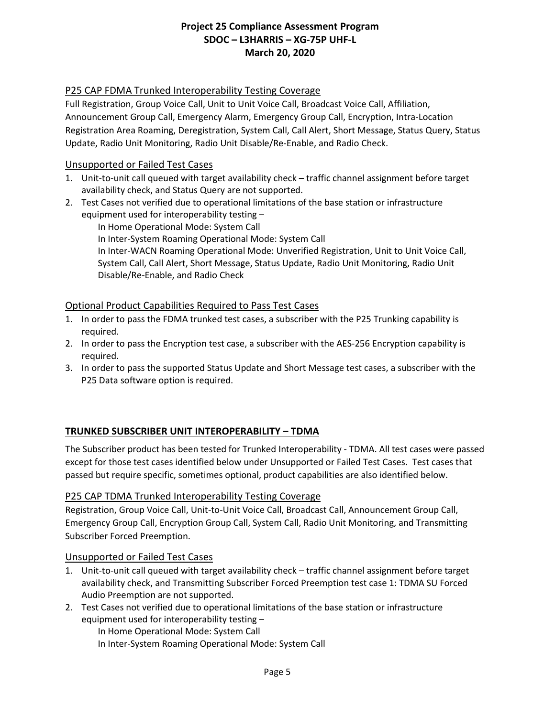# P25 CAP FDMA Trunked Interoperability Testing Coverage

Full Registration, Group Voice Call, Unit to Unit Voice Call, Broadcast Voice Call, Affiliation, Announcement Group Call, Emergency Alarm, Emergency Group Call, Encryption, Intra-Location Registration Area Roaming, Deregistration, System Call, Call Alert, Short Message, Status Query, Status Update, Radio Unit Monitoring, Radio Unit Disable/Re-Enable, and Radio Check.

### Unsupported or Failed Test Cases

- 1. Unit-to-unit call queued with target availability check traffic channel assignment before target availability check, and Status Query are not supported.
- 2. Test Cases not verified due to operational limitations of the base station or infrastructure equipment used for interoperability testing –

In Home Operational Mode: System Call In Inter-System Roaming Operational Mode: System Call In Inter-WACN Roaming Operational Mode: Unverified Registration, Unit to Unit Voice Call, System Call, Call Alert, Short Message, Status Update, Radio Unit Monitoring, Radio Unit Disable/Re-Enable, and Radio Check

### Optional Product Capabilities Required to Pass Test Cases

- 1. In order to pass the FDMA trunked test cases, a subscriber with the P25 Trunking capability is required.
- 2. In order to pass the Encryption test case, a subscriber with the AES-256 Encryption capability is required.
- 3. In order to pass the supported Status Update and Short Message test cases, a subscriber with the P25 Data software option is required.

### **TRUNKED SUBSCRIBER UNIT INTEROPERABILITY – TDMA**

The Subscriber product has been tested for Trunked Interoperability - TDMA. All test cases were passed except for those test cases identified below under Unsupported or Failed Test Cases. Test cases that passed but require specific, sometimes optional, product capabilities are also identified below.

#### P25 CAP TDMA Trunked Interoperability Testing Coverage

Registration, Group Voice Call, Unit-to-Unit Voice Call, Broadcast Call, Announcement Group Call, Emergency Group Call, Encryption Group Call, System Call, Radio Unit Monitoring, and Transmitting Subscriber Forced Preemption.

### Unsupported or Failed Test Cases

- 1. Unit-to-unit call queued with target availability check traffic channel assignment before target availability check, and Transmitting Subscriber Forced Preemption test case 1: TDMA SU Forced Audio Preemption are not supported.
- 2. Test Cases not verified due to operational limitations of the base station or infrastructure equipment used for interoperability testing –

In Home Operational Mode: System Call

In Inter-System Roaming Operational Mode: System Call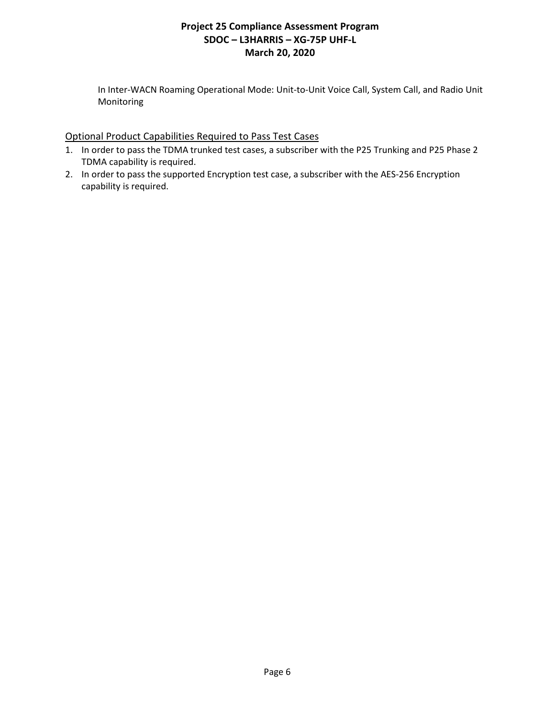In Inter-WACN Roaming Operational Mode: Unit-to-Unit Voice Call, System Call, and Radio Unit Monitoring

### Optional Product Capabilities Required to Pass Test Cases

- 1. In order to pass the TDMA trunked test cases, a subscriber with the P25 Trunking and P25 Phase 2 TDMA capability is required.
- 2. In order to pass the supported Encryption test case, a subscriber with the AES-256 Encryption capability is required.